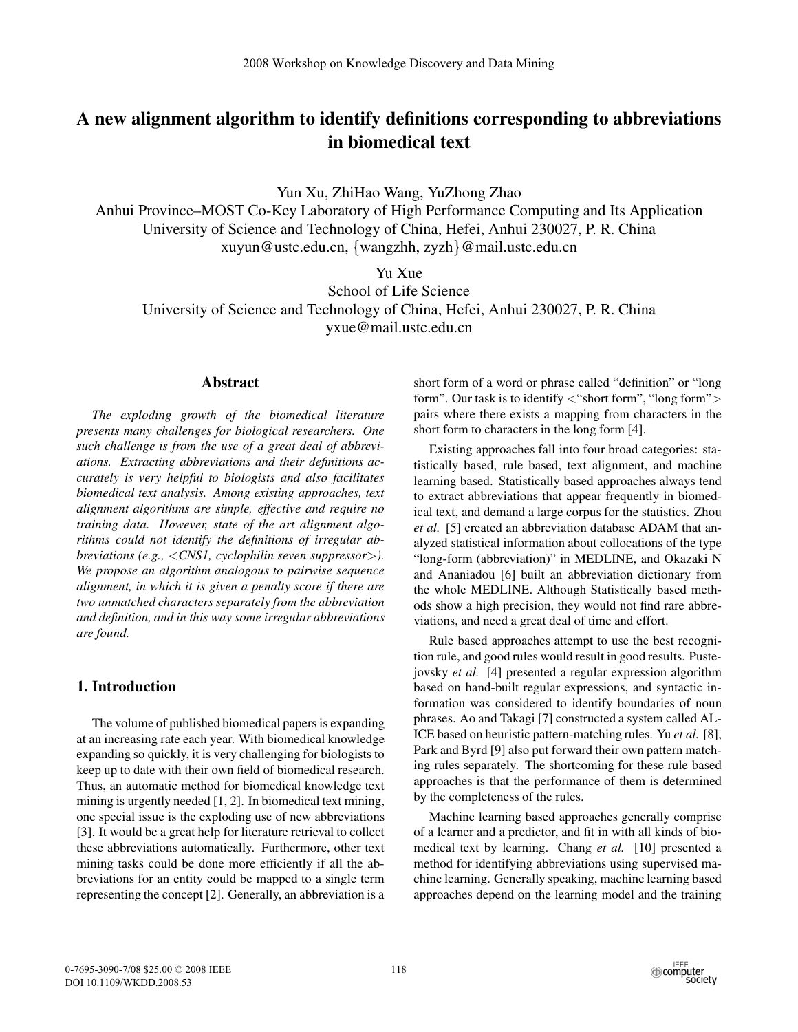# **A new alignment algorithm to identify definitions corresponding to abbreviations in biomedical text**

Yun Xu, ZhiHao Wang, YuZhong Zhao

Anhui Province–MOST Co-Key Laboratory of High Performance Computing and Its Application University of Science and Technology of China, Hefei, Anhui 230027, P. R. China xuyun@ustc.edu.cn, {wangzhh, zyzh}@mail.ustc.edu.cn

Yu Xue

School of Life Science University of Science and Technology of China, Hefei, Anhui 230027, P. R. China yxue@mail.ustc.edu.cn

### **Abstract**

*The exploding growth of the biomedical literature presents many challenges for biological researchers. One such challenge is from the use of a great deal of abbreviations. Extracting abbreviations and their definitions accurately is very helpful to biologists and also facilitates biomedical text analysis. Among existing approaches, text alignment algorithms are simple, effective and require no training data. However, state of the art alignment algorithms could not identify the definitions of irregular abbreviations (e.g., <CNS1, cyclophilin seven suppressor>). We propose an algorithm analogous to pairwise sequence alignment, in which it is given a penalty score if there are two unmatched characters separately from the abbreviation and definition, and in this way some irregular abbreviations are found.*

# **1. Introduction**

The volume of published biomedical papers is expanding at an increasing rate each year. With biomedical knowledge expanding so quickly, it is very challenging for biologists to keep up to date with their own field of biomedical research. Thus, an automatic method for biomedical knowledge text mining is urgently needed [1, 2]. In biomedical text mining, one special issue is the exploding use of new abbreviations [3]. It would be a great help for literature retrieval to collect these abbreviations automatically. Furthermore, other text mining tasks could be done more efficiently if all the abbreviations for an entity could be mapped to a single term representing the concept [2]. Generally, an abbreviation is a short form of a word or phrase called "definition" or "long form". Our task is to identify *<*"short form", "long form"*>* pairs where there exists a mapping from characters in the short form to characters in the long form [4].

Existing approaches fall into four broad categories: statistically based, rule based, text alignment, and machine learning based. Statistically based approaches always tend to extract abbreviations that appear frequently in biomedical text, and demand a large corpus for the statistics. Zhou *et al.* [5] created an abbreviation database ADAM that analyzed statistical information about collocations of the type "long-form (abbreviation)" in MEDLINE, and Okazaki N and Ananiadou [6] built an abbreviation dictionary from the whole MEDLINE. Although Statistically based methods show a high precision, they would not find rare abbreviations, and need a great deal of time and effort.

Rule based approaches attempt to use the best recognition rule, and good rules would result in good results. Pustejovsky *et al.* [4] presented a regular expression algorithm based on hand-built regular expressions, and syntactic information was considered to identify boundaries of noun phrases. Ao and Takagi [7] constructed a system called AL-ICE based on heuristic pattern-matching rules. Yu *et al.* [8], Park and Byrd [9] also put forward their own pattern matching rules separately. The shortcoming for these rule based approaches is that the performance of them is determined by the completeness of the rules.

Machine learning based approaches generally comprise of a learner and a predictor, and fit in with all kinds of biomedical text by learning. Chang *et al.* [10] presented a method for identifying abbreviations using supervised machine learning. Generally speaking, machine learning based approaches depend on the learning model and the training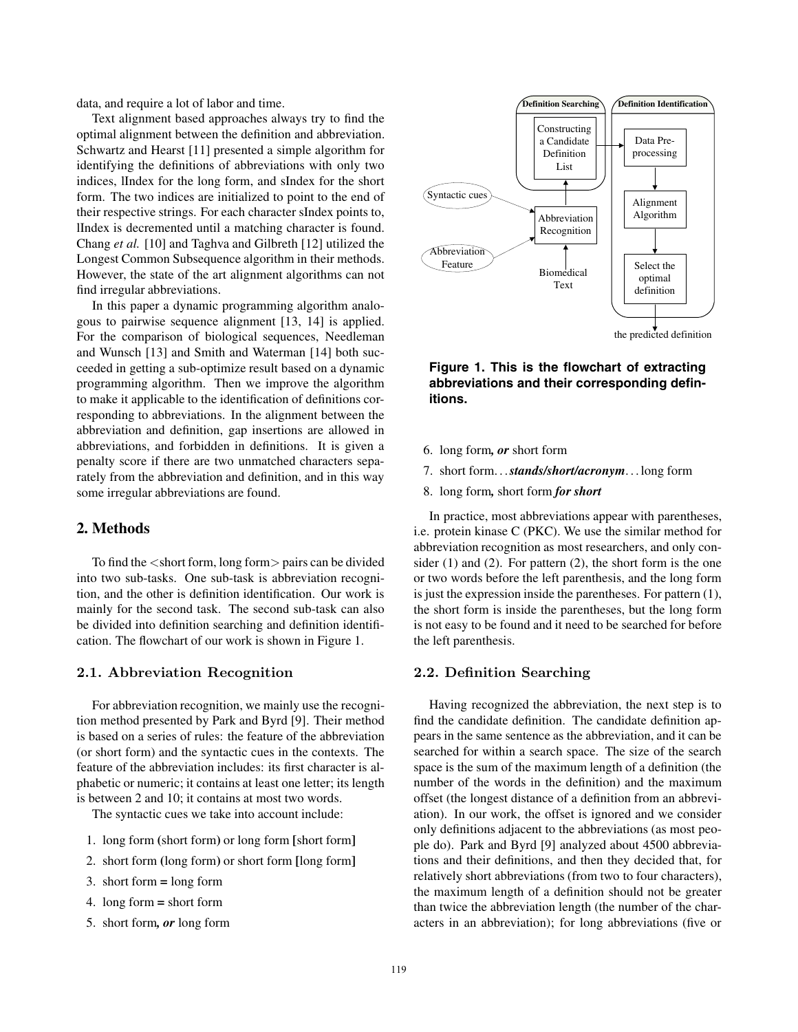data, and require a lot of labor and time.

Text alignment based approaches always try to find the optimal alignment between the definition and abbreviation. Schwartz and Hearst [11] presented a simple algorithm for identifying the definitions of abbreviations with only two indices, lIndex for the long form, and sIndex for the short form. The two indices are initialized to point to the end of their respective strings. For each character sIndex points to, lIndex is decremented until a matching character is found. Chang *et al.* [10] and Taghva and Gilbreth [12] utilized the Longest Common Subsequence algorithm in their methods. However, the state of the art alignment algorithms can not find irregular abbreviations.

In this paper a dynamic programming algorithm analogous to pairwise sequence alignment [13, 14] is applied. For the comparison of biological sequences, Needleman and Wunsch [13] and Smith and Waterman [14] both succeeded in getting a sub-optimize result based on a dynamic programming algorithm. Then we improve the algorithm to make it applicable to the identification of definitions corresponding to abbreviations. In the alignment between the abbreviation and definition, gap insertions are allowed in abbreviations, and forbidden in definitions. It is given a penalty score if there are two unmatched characters separately from the abbreviation and definition, and in this way some irregular abbreviations are found.

# **2. Methods**

To find the *<*short form, long form*>* pairs can be divided into two sub-tasks. One sub-task is abbreviation recognition, and the other is definition identification. Our work is mainly for the second task. The second sub-task can also be divided into definition searching and definition identification. The flowchart of our work is shown in Figure 1.

### **2.1. Abbreviation Recognition**

For abbreviation recognition, we mainly use the recognition method presented by Park and Byrd [9]. Their method is based on a series of rules: the feature of the abbreviation (or short form) and the syntactic cues in the contexts. The feature of the abbreviation includes: its first character is alphabetic or numeric; it contains at least one letter; its length is between 2 and 10; it contains at most two words.

The syntactic cues we take into account include:

- 1. long form **(**short form**)** or long form **[**short form**]**
- 2. short form **(**long form**)** or short form **[**long form**]**
- 3. short form *=* long form
- 4. long form *=* short form
- 5. short form*, or* long form



**Figure 1. This is the flowchart of extracting abbreviations and their corresponding definitions.**

- 6. long form*, or* short form
- 7. short form. . .*stands/short/acronym*. . . long form
- 8. long form*,* short form *for short*

In practice, most abbreviations appear with parentheses, i.e. protein kinase C (PKC). We use the similar method for abbreviation recognition as most researchers, and only consider (1) and (2). For pattern (2), the short form is the one or two words before the left parenthesis, and the long form is just the expression inside the parentheses. For pattern (1), the short form is inside the parentheses, but the long form is not easy to be found and it need to be searched for before the left parenthesis.

### **2.2. Definition Searching**

Having recognized the abbreviation, the next step is to find the candidate definition. The candidate definition appears in the same sentence as the abbreviation, and it can be searched for within a search space. The size of the search space is the sum of the maximum length of a definition (the number of the words in the definition) and the maximum offset (the longest distance of a definition from an abbreviation). In our work, the offset is ignored and we consider only definitions adjacent to the abbreviations (as most people do). Park and Byrd [9] analyzed about 4500 abbreviations and their definitions, and then they decided that, for relatively short abbreviations (from two to four characters), the maximum length of a definition should not be greater than twice the abbreviation length (the number of the characters in an abbreviation); for long abbreviations (five or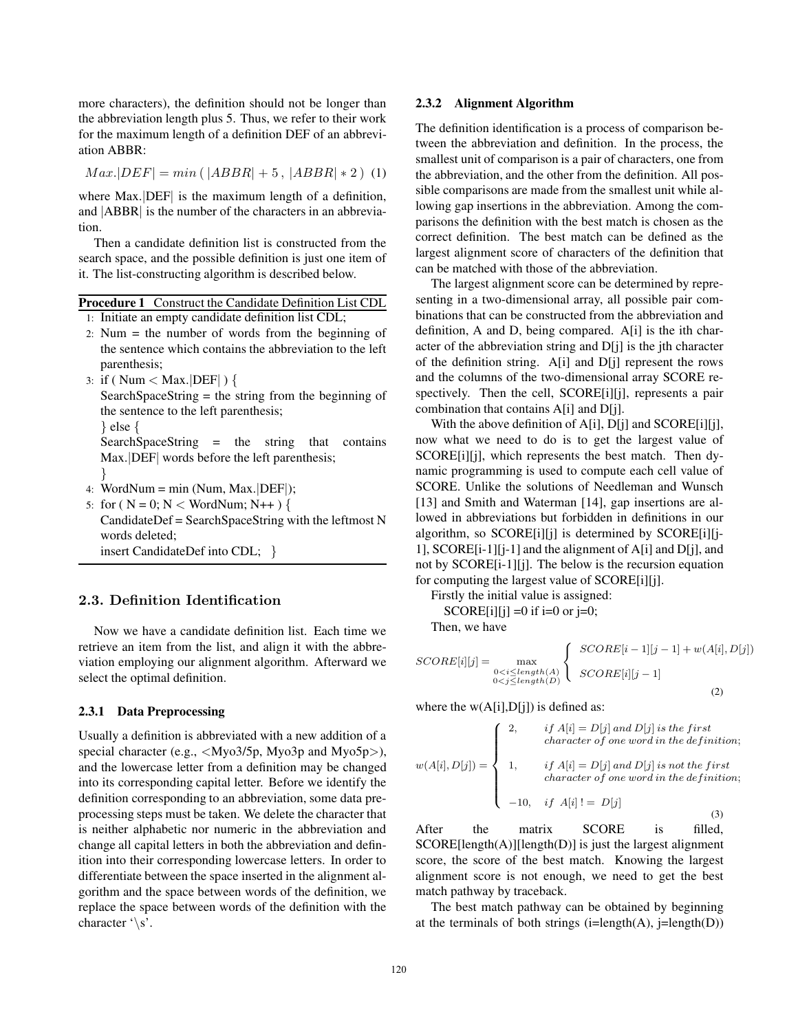more characters), the definition should not be longer than the abbreviation length plus 5. Thus, we refer to their work for the maximum length of a definition DEF of an abbreviation ABBR:

$$
Max.|DEF| = min(|ABBR| + 5, |ABBR| * 2)
$$
 (1)

where Max.|DEF| is the maximum length of a definition, and |ABBR| is the number of the characters in an abbreviation.

Then a candidate definition list is constructed from the search space, and the possible definition is just one item of it. The list-constructing algorithm is described below.

**Procedure 1** Construct the Candidate Definition List CDL 1: Initiate an empty candidate definition list CDL;

- 2: Num = the number of words from the beginning of the sentence which contains the abbreviation to the left parenthesis;
- 3: if ( Num *<* Max.|DEF| ) { SearchSpaceString = the string from the beginning of the sentence to the left parenthesis;

} else {

SearchSpaceString = the string that contains Max. **DEF** words before the left parenthesis; }

- 4: WordNum = min (Num, Max.  $|DEF|$ );
- 5: for  $(N = 0; N < WordNum; N++)$
- CandidateDef = SearchSpaceString with the leftmost N words deleted;
- insert CandidateDef into CDL; }

# **2.3. Definition Identification**

Now we have a candidate definition list. Each time we retrieve an item from the list, and align it with the abbreviation employing our alignment algorithm. Afterward we select the optimal definition.

#### **2.3.1 Data Preprocessing**

Usually a definition is abbreviated with a new addition of a special character (e.g., *<*Myo3/5p, Myo3p and Myo5p*>*), and the lowercase letter from a definition may be changed into its corresponding capital letter. Before we identify the definition corresponding to an abbreviation, some data preprocessing steps must be taken. We delete the character that is neither alphabetic nor numeric in the abbreviation and change all capital letters in both the abbreviation and definition into their corresponding lowercase letters. In order to differentiate between the space inserted in the alignment algorithm and the space between words of the definition, we replace the space between words of the definition with the character '\s'.

#### **2.3.2 Alignment Algorithm**

The definition identification is a process of comparison between the abbreviation and definition. In the process, the smallest unit of comparison is a pair of characters, one from the abbreviation, and the other from the definition. All possible comparisons are made from the smallest unit while allowing gap insertions in the abbreviation. Among the comparisons the definition with the best match is chosen as the correct definition. The best match can be defined as the largest alignment score of characters of the definition that can be matched with those of the abbreviation.

The largest alignment score can be determined by representing in a two-dimensional array, all possible pair combinations that can be constructed from the abbreviation and definition, A and D, being compared. A[i] is the ith character of the abbreviation string and D[j] is the jth character of the definition string. A[i] and D[j] represent the rows and the columns of the two-dimensional array SCORE respectively. Then the cell, SCORE[i][j], represents a pair combination that contains A[i] and D[j].

With the above definition of A[i], D[j] and SCORE[i][j], now what we need to do is to get the largest value of SCORE[i][j], which represents the best match. Then dynamic programming is used to compute each cell value of SCORE. Unlike the solutions of Needleman and Wunsch [13] and Smith and Waterman [14], gap insertions are allowed in abbreviations but forbidden in definitions in our algorithm, so SCORE[i][j] is determined by SCORE[i][j-1], SCORE[i-1][j-1] and the alignment of A[i] and D[j], and not by SCORE[i-1][j]. The below is the recursion equation for computing the largest value of SCORE[i][j].

Firstly the initial value is assigned: SCORE $[i][i] = 0$  if  $i=0$  or  $j=0$ ;

Then, we have

$$
SCORE[i][j] = \max_{\substack{0 < i \le length(A) \\ 0 < j \le length(D)}} \left\{ \begin{array}{l} SCORE[i-1][j-1] + w(A[i], D[j]) \\ SCORE[i][j-1] \end{array} \right.
$$
\n
$$
(2)
$$

where the  $w(A[i],D[i])$  is defined as:

$$
w(A[i], D[j]) = \begin{cases} 2, & if A[i] = D[j] \text{ and } D[j] \text{ is the first} \\ & \text{character of one word in the definition;} \\ 1, & if A[i] = D[j] \text{ and } D[j] \text{ is not the first} \\ & \text{character of one word in the definition;} \\ -10, & if A[i] != D[j] \end{cases}
$$

(3)

After the matrix SCORE is filled, SCORE[length(A)][length(D)] is just the largest alignment score, the score of the best match. Knowing the largest alignment score is not enough, we need to get the best match pathway by traceback.

The best match pathway can be obtained by beginning at the terminals of both strings  $(i=length(A), j=length(D))$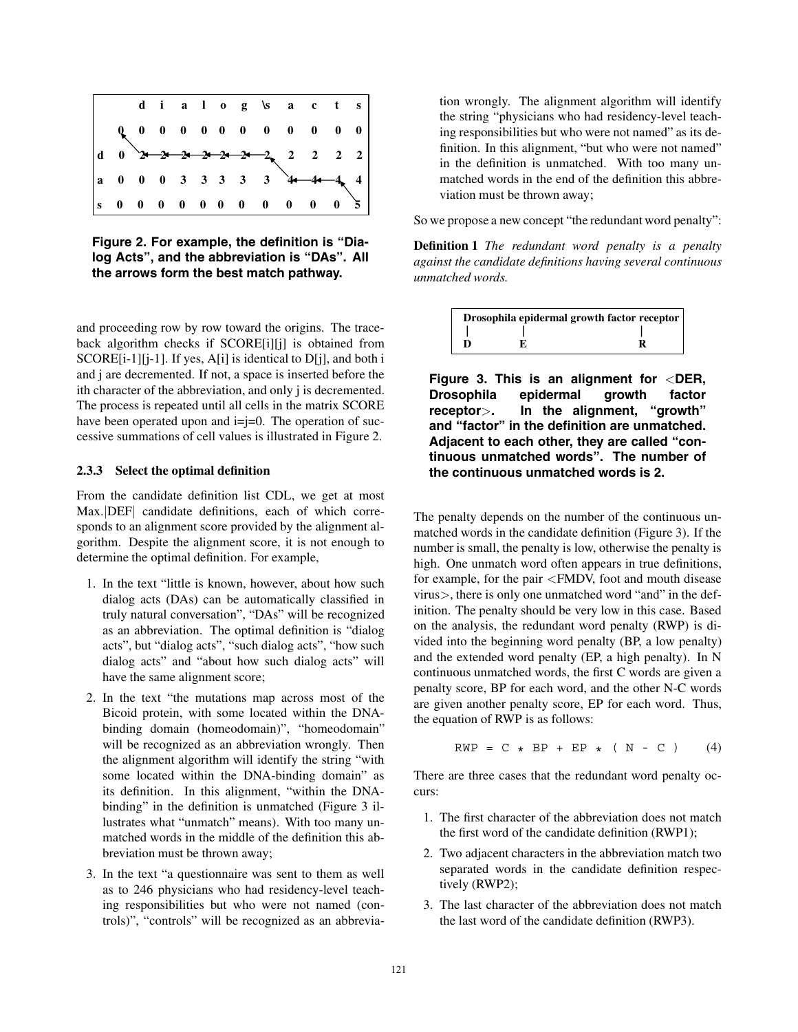

**Figure 2. For example, the definition is "Dialog Acts", and the abbreviation is "DAs". All the arrows form the best match pathway.**

and proceeding row by row toward the origins. The traceback algorithm checks if SCORE[i][j] is obtained from SCORE[i-1][j-1]. If yes, A[i] is identical to D[j], and both i and j are decremented. If not, a space is inserted before the ith character of the abbreviation, and only j is decremented. The process is repeated until all cells in the matrix SCORE have been operated upon and  $i=j=0$ . The operation of successive summations of cell values is illustrated in Figure 2.

#### **2.3.3 Select the optimal definition**

From the candidate definition list CDL, we get at most Max.|DEF| candidate definitions, each of which corresponds to an alignment score provided by the alignment algorithm. Despite the alignment score, it is not enough to determine the optimal definition. For example,

- 1. In the text "little is known, however, about how such dialog acts (DAs) can be automatically classified in truly natural conversation", "DAs" will be recognized as an abbreviation. The optimal definition is "dialog acts", but "dialog acts", "such dialog acts", "how such dialog acts" and "about how such dialog acts" will have the same alignment score;
- 2. In the text "the mutations map across most of the Bicoid protein, with some located within the DNAbinding domain (homeodomain)", "homeodomain" will be recognized as an abbreviation wrongly. Then the alignment algorithm will identify the string "with some located within the DNA-binding domain" as its definition. In this alignment, "within the DNAbinding" in the definition is unmatched (Figure 3 illustrates what "unmatch" means). With too many unmatched words in the middle of the definition this abbreviation must be thrown away;
- 3. In the text "a questionnaire was sent to them as well as to 246 physicians who had residency-level teaching responsibilities but who were not named (controls)", "controls" will be recognized as an abbrevia-

tion wrongly. The alignment algorithm will identify the string "physicians who had residency-level teaching responsibilities but who were not named" as its definition. In this alignment, "but who were not named" in the definition is unmatched. With too many unmatched words in the end of the definition this abbreviation must be thrown away;

So we propose a new concept "the redundant word penalty":

**Definition 1** *The redundant word penalty is a penalty against the candidate definitions having several continuous unmatched words.*

| Drosophila epidermal growth factor receptor |  |  |  |  |
|---------------------------------------------|--|--|--|--|
|                                             |  |  |  |  |
| D                                           |  |  |  |  |

**Figure 3. This is an alignment for** *<***DER, Drosophila epidermal growth factor receptor***>***. In the alignment, "growth" and "factor" in the definition are unmatched. Adjacent to each other, they are called "continuous unmatched words". The number of the continuous unmatched words is 2.**

The penalty depends on the number of the continuous unmatched words in the candidate definition (Figure 3). If the number is small, the penalty is low, otherwise the penalty is high. One unmatch word often appears in true definitions, for example, for the pair *<*FMDV, foot and mouth disease virus*>*, there is only one unmatched word "and" in the definition. The penalty should be very low in this case. Based on the analysis, the redundant word penalty (RWP) is divided into the beginning word penalty (BP, a low penalty) and the extended word penalty (EP, a high penalty). In N continuous unmatched words, the first C words are given a penalty score, BP for each word, and the other N-C words are given another penalty score, EP for each word. Thus, the equation of RWP is as follows:

$$
RWP = C \star BP + EP \star (N - C) \qquad (4)
$$

There are three cases that the redundant word penalty occurs:

- 1. The first character of the abbreviation does not match the first word of the candidate definition (RWP1);
- 2. Two adjacent characters in the abbreviation match two separated words in the candidate definition respectively (RWP2);
- 3. The last character of the abbreviation does not match the last word of the candidate definition (RWP3).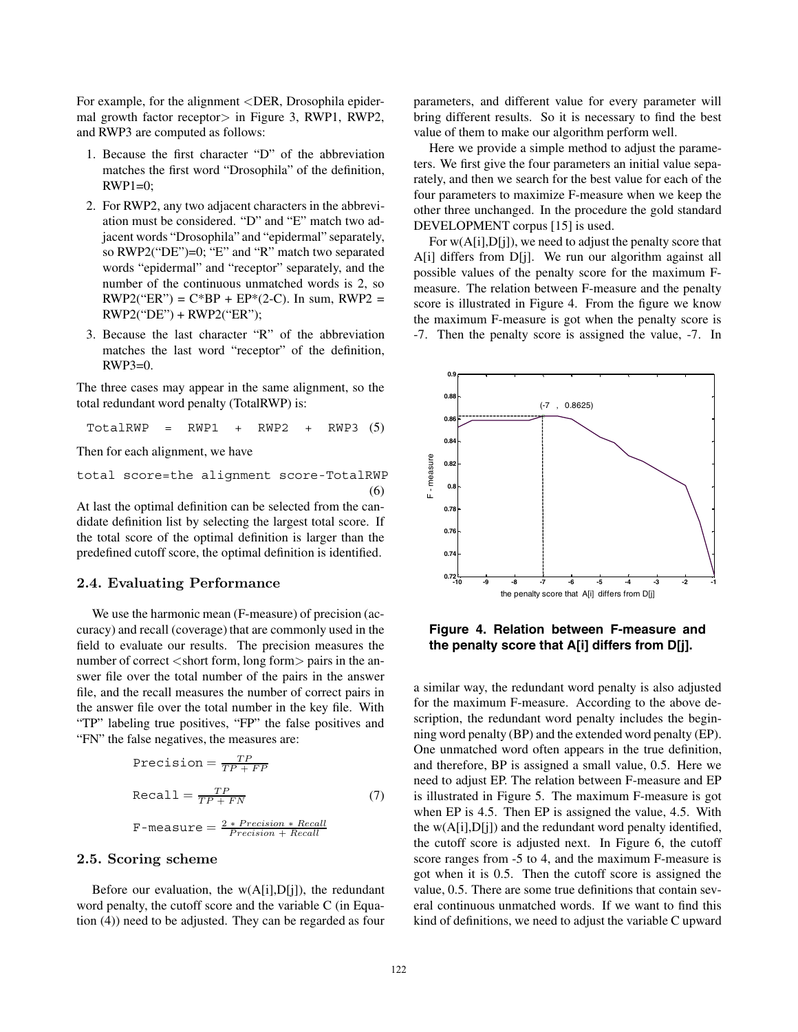For example, for the alignment *<*DER, Drosophila epidermal growth factor receptor*>* in Figure 3, RWP1, RWP2, and RWP3 are computed as follows:

- 1. Because the first character "D" of the abbreviation matches the first word "Drosophila" of the definition,  $RWP1=0$ ;
- 2. For RWP2, any two adjacent characters in the abbreviation must be considered. "D" and "E" match two adjacent words "Drosophila" and "epidermal" separately, so RWP2("DE")=0; "E" and "R" match two separated words "epidermal" and "receptor" separately, and the number of the continuous unmatched words is 2, so  $RWP2("ER") = C*BP + EP*(2-C)$ . In sum,  $RWP2 =$ RWP2("DE") + RWP2("ER");
- 3. Because the last character "R" of the abbreviation matches the last word "receptor" of the definition, RWP3=0.

The three cases may appear in the same alignment, so the total redundant word penalty (TotalRWP) is:

 $TotalRWP = RWP1 + RWP2 + RWP3 (5)$ 

Then for each alignment, we have

total score=the alignment score-TotalRWP (6)

At last the optimal definition can be selected from the candidate definition list by selecting the largest total score. If the total score of the optimal definition is larger than the predefined cutoff score, the optimal definition is identified.

#### **2.4. Evaluating Performance**

We use the harmonic mean (F-measure) of precision (accuracy) and recall (coverage) that are commonly used in the field to evaluate our results. The precision measures the number of correct *<*short form, long form*>* pairs in the answer file over the total number of the pairs in the answer file, and the recall measures the number of correct pairs in the answer file over the total number in the key file. With "TP" labeling true positives, "FP" the false positives and "FN" the false negatives, the measures are:

$$
Precision = \frac{TP}{TP + FP}
$$
\n
$$
Recall = \frac{TP}{TP + FN}
$$
\n
$$
F-measure = \frac{2*Precision * Recall}{Precision + Recall}
$$
\n(7)

#### **2.5. Scoring scheme**

Before our evaluation, the  $w(A[i],D[i])$ , the redundant word penalty, the cutoff score and the variable C (in Equation (4)) need to be adjusted. They can be regarded as four parameters, and different value for every parameter will bring different results. So it is necessary to find the best value of them to make our algorithm perform well.

Here we provide a simple method to adjust the parameters. We first give the four parameters an initial value separately, and then we search for the best value for each of the four parameters to maximize F-measure when we keep the other three unchanged. In the procedure the gold standard DEVELOPMENT corpus [15] is used.

For w(A[i],D[j]), we need to adjust the penalty score that A[i] differs from D[j]. We run our algorithm against all possible values of the penalty score for the maximum Fmeasure. The relation between F-measure and the penalty score is illustrated in Figure 4. From the figure we know the maximum F-measure is got when the penalty score is -7. Then the penalty score is assigned the value, -7. In



**Figure 4. Relation between F-measure and the penalty score that A[i] differs from D[j].**

a similar way, the redundant word penalty is also adjusted for the maximum F-measure. According to the above description, the redundant word penalty includes the beginning word penalty (BP) and the extended word penalty (EP). One unmatched word often appears in the true definition, and therefore, BP is assigned a small value, 0.5. Here we need to adjust EP. The relation between F-measure and EP is illustrated in Figure 5. The maximum F-measure is got when EP is 4.5. Then EP is assigned the value, 4.5. With the w(A[i],D[j]) and the redundant word penalty identified, the cutoff score is adjusted next. In Figure 6, the cutoff score ranges from -5 to 4, and the maximum F-measure is got when it is 0.5. Then the cutoff score is assigned the value, 0.5. There are some true definitions that contain several continuous unmatched words. If we want to find this kind of definitions, we need to adjust the variable C upward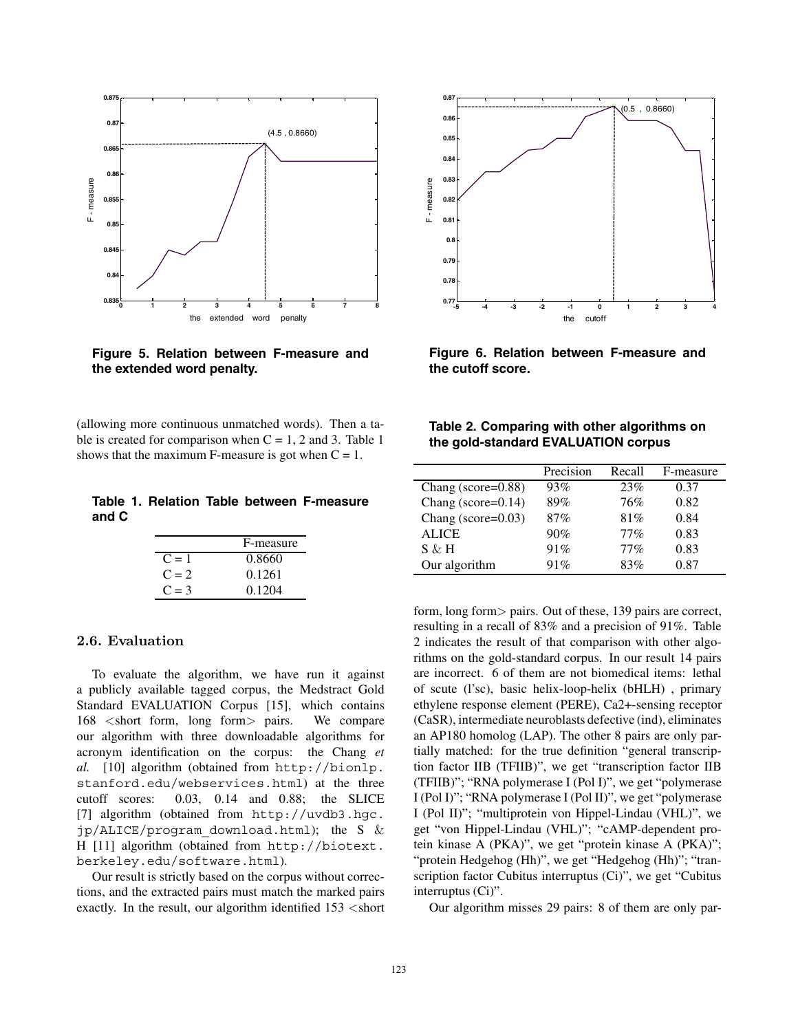

**Figure 5. Relation between F-measure and the extended word penalty.**

(allowing more continuous unmatched words). Then a table is created for comparison when  $C = 1$ , 2 and 3. Table 1 shows that the maximum F-measure is got when  $C = 1$ .

**Table 1. Relation Table between F-measure and C**

|         | F-measure |
|---------|-----------|
| $C=1$   | 0.8660    |
| $C = 2$ | 0.1261    |
| $C = 3$ | 0.1204    |

# **2.6. Evaluation**

To evaluate the algorithm, we have run it against a publicly available tagged corpus, the Medstract Gold Standard EVALUATION Corpus [15], which contains 168 *<*short form, long form*>* pairs. We compare our algorithm with three downloadable algorithms for acronym identification on the corpus: the Chang *et al.* [10] algorithm (obtained from http://bionlp. stanford.edu/webservices.html) at the three cutoff scores: 0.03, 0.14 and 0.88; the SLICE [7] algorithm (obtained from http://uvdb3.hgc.  $jp/ALICE/program$  download.html); the S & H [11] algorithm (obtained from http://biotext. berkeley.edu/software.html).

Our result is strictly based on the corpus without corrections, and the extracted pairs must match the marked pairs exactly. In the result, our algorithm identified 153 *<*short



**Figure 6. Relation between F-measure and the cutoff score.**

| Table 2. Comparing with other algorithms on |  |
|---------------------------------------------|--|
| the gold-standard EVALUATION corpus         |  |

|                        | Precision | Recall | F-measure |
|------------------------|-----------|--------|-----------|
| Chang (score= $0.88$ ) | 93%       | 23%    | 0.37      |
| Chang (score= $0.14$ ) | 89%       | 76%    | 0.82      |
| Chang (score= $0.03$ ) | 87%       | 81%    | 0.84      |
| <b>ALICE</b>           | 90%       | $77\%$ | 0.83      |
| $S \& H$               | 91%       | 77%    | 0.83      |
| Our algorithm          | 91%       | 83%    | 0.87      |

form, long form*>* pairs. Out of these, 139 pairs are correct, resulting in a recall of 83% and a precision of 91%. Table 2 indicates the result of that comparison with other algorithms on the gold-standard corpus. In our result 14 pairs are incorrect. 6 of them are not biomedical items: lethal of scute (l'sc), basic helix-loop-helix (bHLH) , primary ethylene response element (PERE), Ca2+-sensing receptor (CaSR), intermediate neuroblasts defective (ind), eliminates an AP180 homolog (LAP). The other 8 pairs are only partially matched: for the true definition "general transcription factor IIB (TFIIB)", we get "transcription factor IIB (TFIIB)"; "RNA polymerase I (Pol I)", we get "polymerase I (Pol I)"; "RNA polymerase I (Pol II)", we get "polymerase I (Pol II)"; "multiprotein von Hippel-Lindau (VHL)", we get "von Hippel-Lindau (VHL)"; "cAMP-dependent protein kinase A (PKA)", we get "protein kinase A (PKA)"; "protein Hedgehog (Hh)", we get "Hedgehog (Hh)"; "transcription factor Cubitus interruptus (Ci)", we get "Cubitus interruptus (Ci)".

Our algorithm misses 29 pairs: 8 of them are only par-